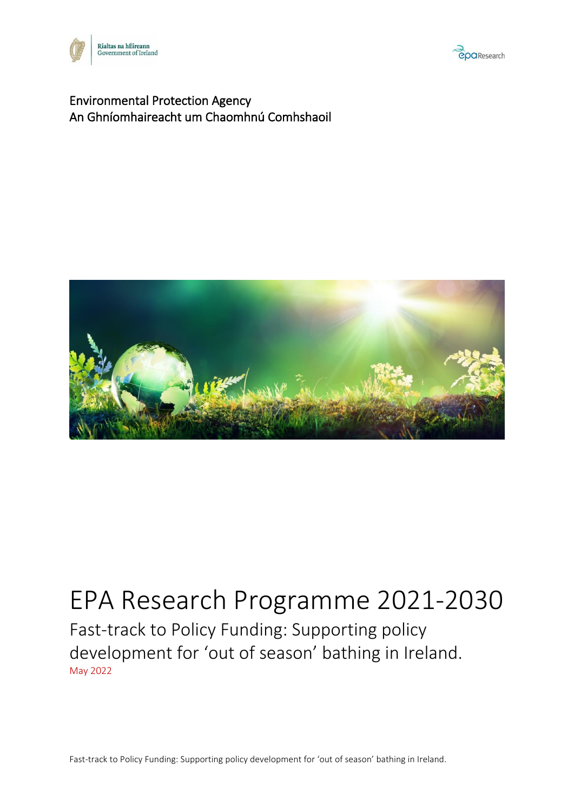



#### Environmental Protection Agency An Ghníomhaireacht um Chaomhnú Comhshaoil



## EPA Research Programme 2021-2030 Fast-track to Policy Funding: Supporting policy development for 'out of season' bathing in Ireland. May 2022

Fast-track to Policy Funding: Supporting policy development for 'out of season' bathing in Ireland.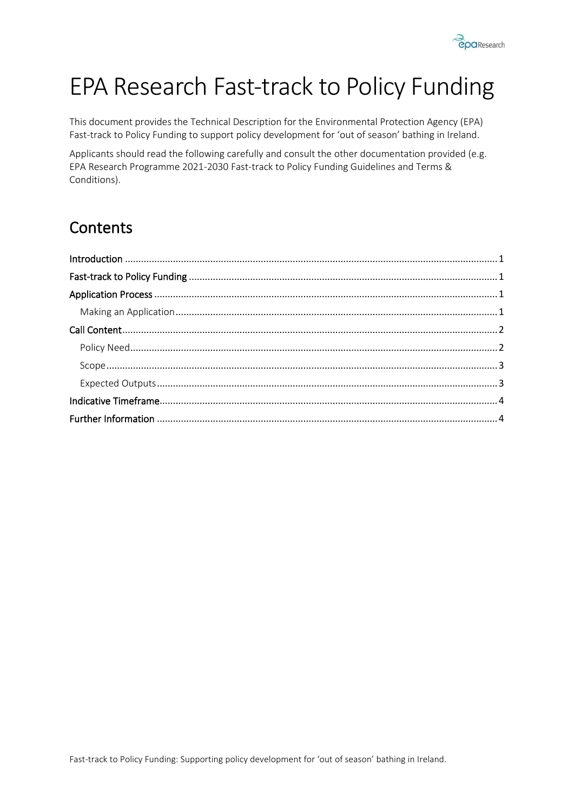

# EPA Research Fast-track to Policy Funding

This document provides the Technical Description for the Environmental Protection Agency (EPA) Fast-track to Policy Funding to support policy development for 'out of season' bathing in Ireland.

Applicants should read the following carefully and consult the other documentation provided (e.g. EPA Research Programme 2021-2030 Fast-track to Policy Funding Guidelines and Terms & Conditions).

### **Contents**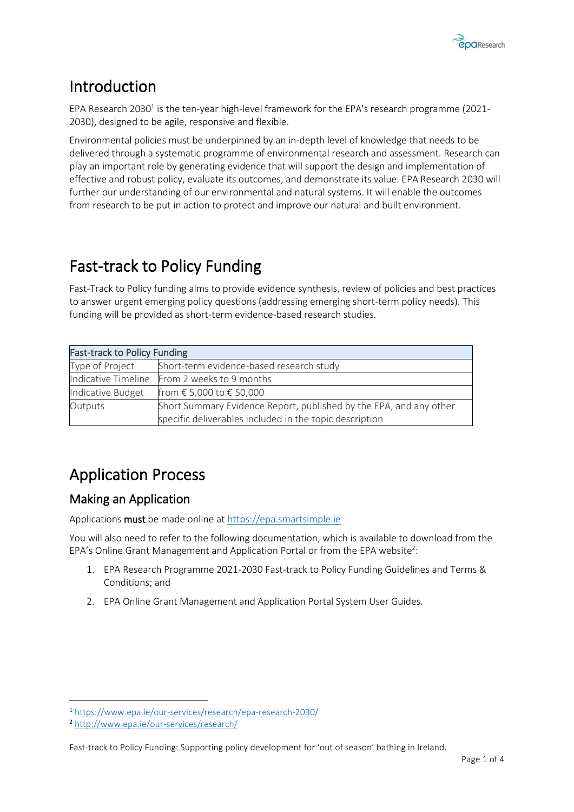

### <span id="page-2-0"></span>Introduction

EPA Research 2030<sup>1</sup> is the ten-year high-level framework for the EPA's research programme (2021-2030), designed to be agile, responsive and flexible.

Environmental policies must be underpinned by an in-depth level of knowledge that needs to be delivered through a systematic programme of environmental research and assessment. Research can play an important role by generating evidence that will support the design and implementation of effective and robust policy, evaluate its outcomes, and demonstrate its value. EPA Research 2030 will further our understanding of our environmental and natural systems. It will enable the outcomes from research to be put in action to protect and improve our natural and built environment.

### <span id="page-2-1"></span>Fast-track to Policy Funding

Fast-Track to Policy funding aims to provide evidence synthesis, review of policies and best practices to answer urgent emerging policy questions (addressing emerging short-term policy needs). This funding will be provided as short-term evidence-based research studies.

| <b>Fast-track to Policy Funding</b> |                                                                    |  |  |  |
|-------------------------------------|--------------------------------------------------------------------|--|--|--|
| Type of Project                     | Short-term evidence-based research study                           |  |  |  |
|                                     | Indicative Timeline From 2 weeks to 9 months                       |  |  |  |
| Indicative Budget                   | from € 5,000 to € 50,000                                           |  |  |  |
| Outputs                             | Short Summary Evidence Report, published by the EPA, and any other |  |  |  |
|                                     | specific deliverables included in the topic description            |  |  |  |

### <span id="page-2-2"></span>Application Process

#### <span id="page-2-3"></span>Making an Application

Applications must be made online a[t https://epa.smartsimple.ie](https://epa.smartsimple.ie/)

You will also need to refer to the following documentation, which is available to download from the EPA's Online Grant Management and Application Portal or from the EPA website<sup>2</sup>:

- 1. EPA Research Programme 2021-2030 Fast-track to Policy Funding Guidelines and Terms & Conditions; and
- 2. EPA Online Grant Management and Application Portal System User Guides.

<sup>1</sup> <https://www.epa.ie/our-services/research/epa-research-2030/>

<sup>2</sup> <http://www.epa.ie/our-services/research/>

Fast-track to Policy Funding: Supporting policy development for 'out of season' bathing in Ireland.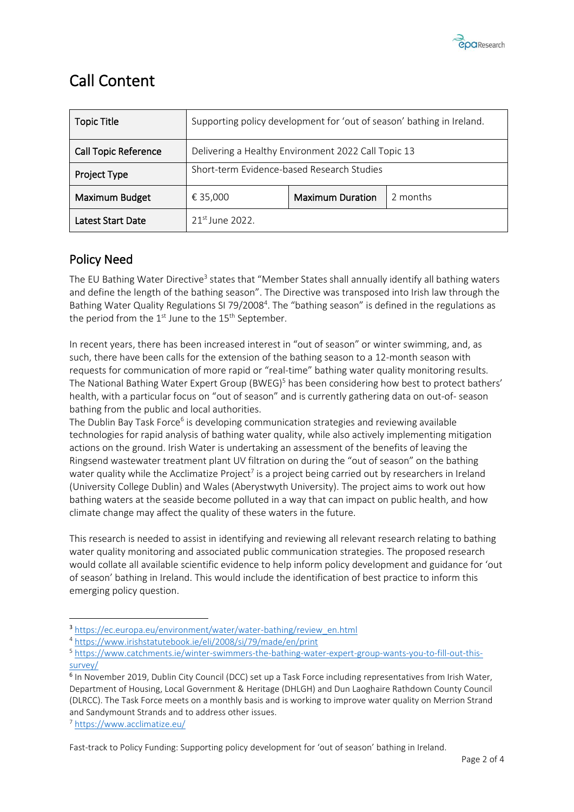

### <span id="page-3-0"></span>Call Content

| <b>Topic Title</b>          | Supporting policy development for 'out of season' bathing in Ireland. |                         |          |
|-----------------------------|-----------------------------------------------------------------------|-------------------------|----------|
| <b>Call Topic Reference</b> | Delivering a Healthy Environment 2022 Call Topic 13                   |                         |          |
| <b>Project Type</b>         | Short-term Evidence-based Research Studies                            |                         |          |
| Maximum Budget              | € 35,000                                                              | <b>Maximum Duration</b> | 2 months |
| Latest Start Date           | $21^{st}$ June 2022.                                                  |                         |          |

#### <span id="page-3-1"></span>Policy Need

The EU Bathing Water Directive<sup>3</sup> states that "Member States shall annually identify all bathing waters and define the length of the bathing season". The Directive was transposed into Irish law through the Bathing Water Quality Regulations SI 79/2008<sup>4</sup>. The "bathing season" is defined in the regulations as the period from the  $1<sup>st</sup>$  June to the  $15<sup>th</sup>$  September.

In recent years, there has been increased interest in "out of season" or winter swimming, and, as such, there have been calls for the extension of the bathing season to a 12-month season with requests for communication of more rapid or "real-time" bathing water quality monitoring results. The National Bathing Water Expert Group (BWEG)<sup>5</sup> has been considering how best to protect bathers' health, with a particular focus on "out of season" and is currently gathering data on out-of- season bathing from the public and local authorities.

The Dublin Bay Task Force<sup>6</sup> is developing communication strategies and reviewing available technologies for rapid analysis of bathing water quality, while also actively implementing mitigation actions on the ground. Irish Water is undertaking an assessment of the benefits of leaving the Ringsend wastewater treatment plant UV filtration on during the "out of season" on the bathing water quality while the Acclimatize Project<sup>7</sup> is a project being carried out by researchers in Ireland (University College Dublin) and Wales (Aberystwyth University). The project aims to work out how bathing waters at the seaside become polluted in a way that can impact on public health, and how climate change may affect the quality of these waters in the future.

This research is needed to assist in identifying and reviewing all relevant research relating to bathing water quality monitoring and associated public communication strategies. The proposed research would collate all available scientific evidence to help inform policy development and guidance for 'out of season' bathing in Ireland. This would include the identification of best practice to inform this emerging policy question.

<sup>7</sup> <https://www.acclimatize.eu/>

Fast-track to Policy Funding: Supporting policy development for 'out of season' bathing in Ireland.

<sup>3</sup> [https://ec.europa.eu/environment/water/water-bathing/review\\_en.html](https://ec.europa.eu/environment/water/water-bathing/review_en.html)

<sup>4</sup> <https://www.irishstatutebook.ie/eli/2008/si/79/made/en/print>

<sup>5</sup> [https://www.catchments.ie/winter-swimmers-the-bathing-water-expert-group-wants-you-to-fill-out-this](https://www.catchments.ie/winter-swimmers-the-bathing-water-expert-group-wants-you-to-fill-out-this-survey/)[survey/](https://www.catchments.ie/winter-swimmers-the-bathing-water-expert-group-wants-you-to-fill-out-this-survey/)

<sup>&</sup>lt;sup>6</sup> In November 2019, Dublin City Council (DCC) set up a Task Force including representatives from Irish Water, Department of Housing, Local Government & Heritage (DHLGH) and Dun Laoghaire Rathdown County Council (DLRCC). The Task Force meets on a monthly basis and is working to improve water quality on Merrion Strand and Sandymount Strands and to address other issues.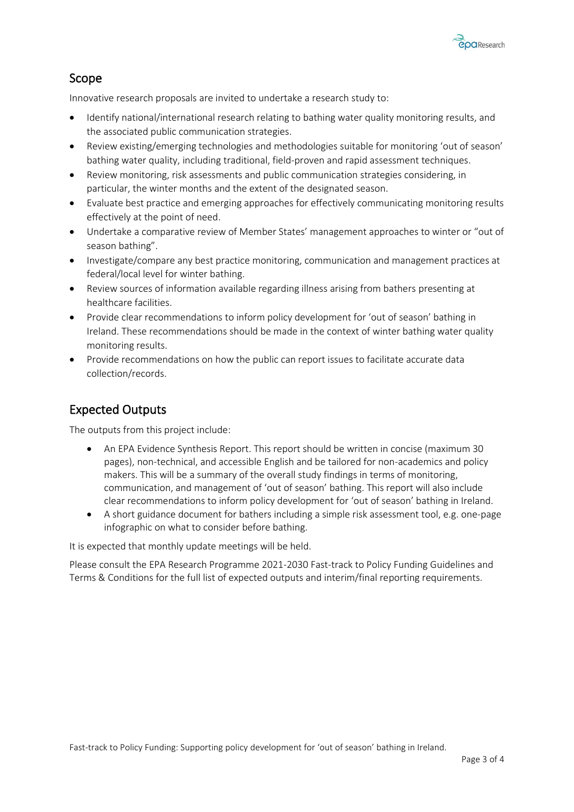

#### <span id="page-4-0"></span>Scope

Innovative research proposals are invited to undertake a research study to:

- Identify national/international research relating to bathing water quality monitoring results, and the associated public communication strategies.
- Review existing/emerging technologies and methodologies suitable for monitoring 'out of season' bathing water quality, including traditional, field-proven and rapid assessment techniques.
- Review monitoring, risk assessments and public communication strategies considering, in particular, the winter months and the extent of the designated season.
- Evaluate best practice and emerging approaches for effectively communicating monitoring results effectively at the point of need.
- Undertake a comparative review of Member States' management approaches to winter or "out of season bathing".
- Investigate/compare any best practice monitoring, communication and management practices at federal/local level for winter bathing.
- Review sources of information available regarding illness arising from bathers presenting at healthcare facilities.
- Provide clear recommendations to inform policy development for 'out of season' bathing in Ireland. These recommendations should be made in the context of winter bathing water quality monitoring results.
- Provide recommendations on how the public can report issues to facilitate accurate data collection/records.

#### <span id="page-4-1"></span>Expected Outputs

The outputs from this project include:

- An EPA Evidence Synthesis Report. This report should be written in concise (maximum 30 pages), non-technical, and accessible English and be tailored for non-academics and policy makers. This will be a summary of the overall study findings in terms of monitoring, communication, and management of 'out of season' bathing. This report will also include clear recommendations to inform policy development for 'out of season' bathing in Ireland.
- A short guidance document for bathers including a simple risk assessment tool, e.g. one-page infographic on what to consider before bathing.

It is expected that monthly update meetings will be held.

Please consult the EPA Research Programme 2021-2030 Fast-track to Policy Funding Guidelines and Terms & Conditions for the full list of expected outputs and interim/final reporting requirements.